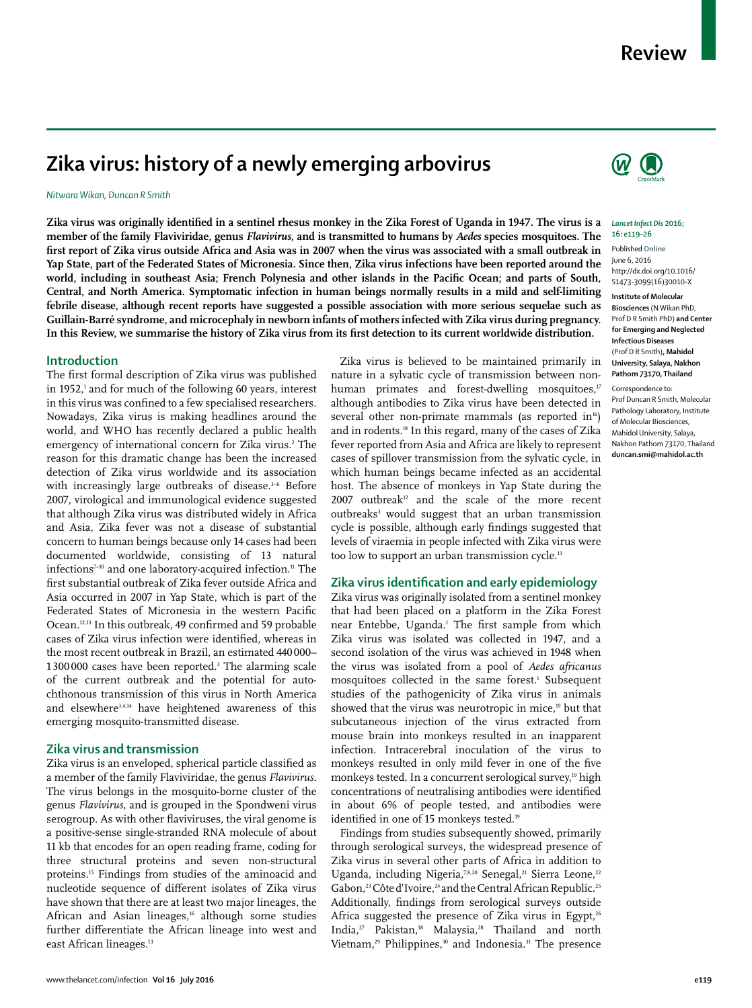# **Zika virus: history of a newly emerging arbovirus**

## *Nitwara Wikan, Duncan R Smith*

Zika virus was originally identified in a sentinel rhesus monkey in the Zika Forest of Uganda in 1947. The virus is a **member of the family Flaviviridae, genus** *Flavivirus,* **and is transmitted to humans by** *Aedes* **species mosquitoes. The**  first report of Zika virus outside Africa and Asia was in 2007 when the virus was associated with a small outbreak in **Yap State, part of the Federated States of Micronesia. Since then, Zika virus infections have been reported around the**  world, including in southeast Asia; French Polynesia and other islands in the Pacific Ocean; and parts of South, **Central, and North America. Symptomatic infection in human beings normally results in a mild and self-limiting febrile disease, although recent reports have suggested a possible association with more serious sequelae such as Guillain-Barré syndrome, and microcephaly in newborn infants of mothers infected with Zika virus during pregnancy.**  In this Review, we summarise the history of Zika virus from its first detection to its current worldwide distribution.

## **Introduction**

The first formal description of Zika virus was published in 1952,1 and for much of the following 60 years, interest in this virus was confined to a few specialised researchers. Nowadays, Zika virus is making headlines around the world, and WHO has recently declared a public health emergency of international concern for Zika virus.<sup>2</sup> The reason for this dramatic change has been the increased detection of Zika virus worldwide and its association with increasingly large outbreaks of disease.<sup>3-6</sup> Before 2007, virological and immunological evidence suggested that although Zika virus was distributed widely in Africa and Asia, Zika fever was not a disease of substantial concern to human beings because only 14 cases had been documented worldwide, consisting of 13 natural infections<sup>7-10</sup> and one laboratory-acquired infection.<sup>11</sup> The first substantial outbreak of Zika fever outside Africa and Asia occurred in 2007 in Yap State, which is part of the Federated States of Micronesia in the western Pacific Ocean.<sup>12,13</sup> In this outbreak, 49 confirmed and 59 probable cases of Zika virus infection were identified, whereas in the most recent outbreak in Brazil, an estimated 440 000– 1 300 000 cases have been reported.3 The alarming scale of the current outbreak and the potential for autochthonous transmission of this virus in North America and elsewhere<sup>3,4,14</sup> have heightened awareness of this emerging mosquito-transmitted disease.

## **Zika virus and transmission**

Zika virus is an enveloped, spherical particle classified as a member of the family Flaviviridae, the genus *Flavivirus*. The virus belongs in the mosquito-borne cluster of the genus *Flavivirus*, and is grouped in the Spondweni virus serogroup. As with other flaviviruses, the viral genome is a positive-sense single-stranded RNA molecule of about 11 kb that encodes for an open reading frame, coding for three structural proteins and seven non-structural proteins.15 Findings from studies of the aminoacid and nucleotide sequence of different isolates of Zika virus have shown that there are at least two major lineages, the African and Asian lineages,<sup>16</sup> although some studies further differentiate the African lineage into west and east African lineages.<sup>13</sup>

Zika virus is believed to be maintained primarily in nature in a sylvatic cycle of transmission between nonhuman primates and forest-dwelling mosquitoes, $\bar{v}$ although antibodies to Zika virus have been detected in several other non-primate mammals (as reported in $16$ ) and in rodents.18 In this regard, many of the cases of Zika fever reported from Asia and Africa are likely to represent cases of spillover transmission from the sylvatic cycle, in which human beings became infected as an accidental host. The absence of monkeys in Yap State during the  $2007$  outbreak<sup>12</sup> and the scale of the more recent outbreaks<sup>3</sup> would suggest that an urban transmission cycle is possible, although early findings suggested that levels of viraemia in people infected with Zika virus were too low to support an urban transmission cycle.<sup>13</sup>

## **Zika virus identifi cation and early epidemiology**

Zika virus was originally isolated from a sentinel monkey that had been placed on a platform in the Zika Forest near Entebbe, Uganda.<sup>1</sup> The first sample from which Zika virus was isolated was collected in 1947, and a second isolation of the virus was achieved in 1948 when the virus was isolated from a pool of *Aedes africanus* mosquitoes collected in the same forest.<sup>1</sup> Subsequent studies of the pathogenicity of Zika virus in animals showed that the virus was neurotropic in mice,<sup>19</sup> but that subcutaneous injection of the virus extracted from mouse brain into monkeys resulted in an inapparent infection. Intracerebral inoculation of the virus to monkeys resulted in only mild fever in one of the five monkeys tested. In a concurrent serological survey,<sup>19</sup> high concentrations of neutralising antibodies were identified in about 6% of people tested, and antibodies were identified in one of 15 monkeys tested.<sup>19</sup>

Findings from studies subsequently showed, primarily through serological surveys, the widespread presence of Zika virus in several other parts of Africa in addition to Uganda, including Nigeria,<sup>7,8,20</sup> Senegal,<sup>21</sup> Sierra Leone,<sup>22</sup> Gabon,<sup>23</sup> Côte d'Ivoire,<sup>24</sup> and the Central African Republic.<sup>25</sup> Additionally, findings from serological surveys outside Africa suggested the presence of Zika virus in Egypt, $26$ India,27 Pakistan,18 Malaysia,28 Thailand and north Vietnam, $29$  Philippines, $30$  and Indonesia.<sup>31</sup> The presence



### *Lancet Infect Dis* **2016; 16: e119–26**

Published **Online** June 6, 2016 http://dx.doi.org/10.1016/ S1473-3099(16)30010-X

**Institute of Molecular Biosciences** (N Wikan PhD, Prof D R Smith PhD) **and Center for Emerging and Neglected Infectious Diseases**  (Prof D R Smith)**, Mahidol University, Salaya, Nakhon Pathom 73170, Thailand**

Correspondence to:

Prof Duncan R Smith, Molecular Pathology Laboratory, Institute of Molecular Biosciences, Mahidol University, Salaya, Nakhon Pathom 73170, Thailand **duncan.smi@mahidol.ac.th**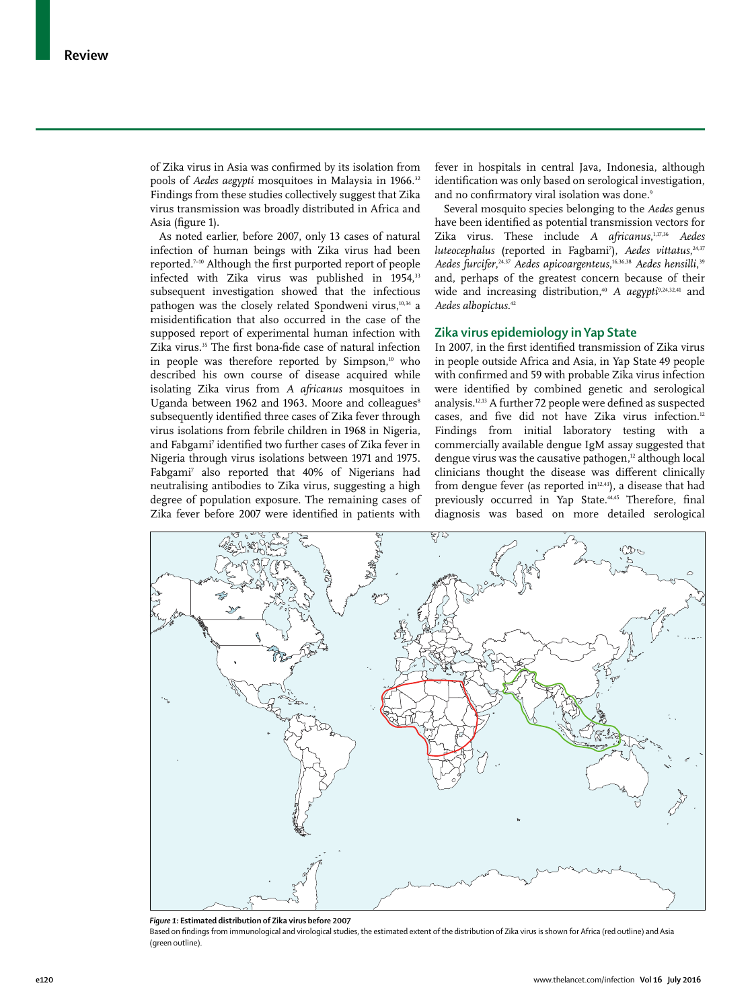of Zika virus in Asia was confirmed by its isolation from pools of *Aedes aegypti* mosquitoes in Malaysia in 1966.<sup>32</sup> Findings from these studies collectively suggest that Zika virus transmission was broadly distributed in Africa and Asia (figure 1).

As noted earlier, before 2007, only 13 cases of natural infection of human beings with Zika virus had been reported.<sup>7-10</sup> Although the first purported report of people infected with Zika virus was published in 1954,<sup>33</sup> subsequent investigation showed that the infectious pathogen was the closely related Spondweni virus,<sup>10,34</sup> a misidentification that also occurred in the case of the supposed report of experimental human infection with Zika virus.<sup>35</sup> The first bona-fide case of natural infection in people was therefore reported by Simpson,<sup>10</sup> who described his own course of disease acquired while isolating Zika virus from *A africanus* mosquitoes in Uganda between 1962 and 1963. Moore and colleagues<sup>8</sup> subsequently identified three cases of Zika fever through virus isolations from febrile children in 1968 in Nigeria, and Fabgami7 identifi ed two further cases of Zika fever in Nigeria through virus isolations between 1971 and 1975. Fabgami7 also reported that 40% of Nigerians had neutralising antibodies to Zika virus, suggesting a high degree of population exposure. The remaining cases of Zika fever before 2007 were identified in patients with

fever in hospitals in central Java, Indonesia, although identification was only based on serological investigation, and no confirmatory viral isolation was done.9

Several mosquito species belonging to the *Aedes* genus have been identified as potential transmission vectors for Zika virus. These include *A africanus*, 1,17,36 *Aedes*  luteocephalus (reported in Fagbami<sup>7</sup>), Aedes vittatus,<sup>24,37</sup> *Aedes furcifer*, 24,37 *Aedes apicoargenteus*, 16,36,38 *Aedes hensilli*, 39 and, perhaps of the greatest concern because of their wide and increasing distribution,<sup>40</sup> A *aegypti*<sup>9,24,32,41</sup> and *Aedes albopictus*. 42

## **Zika virus epidemiology in Yap State**

In 2007, in the first identified transmission of Zika virus in people outside Africa and Asia, in Yap State 49 people with confirmed and 59 with probable Zika virus infection were identified by combined genetic and serological analysis. $12,13$  A further 72 people were defined as suspected cases, and five did not have Zika virus infection.<sup>12</sup> Findings from initial laboratory testing with a commercially available dengue IgM assay suggested that dengue virus was the causative pathogen,<sup>12</sup> although local clinicians thought the disease was different clinically from dengue fever (as reported in $12,43$ ), a disease that had previously occurred in Yap State.<sup>44,45</sup> Therefore, final diagnosis was based on more detailed serological



*Figure 1:* **Estimated distribution of Zika virus before 2007**

Based on findings from immunological and virological studies, the estimated extent of the distribution of Zika virus is shown for Africa (red outline) and Asia (green outline).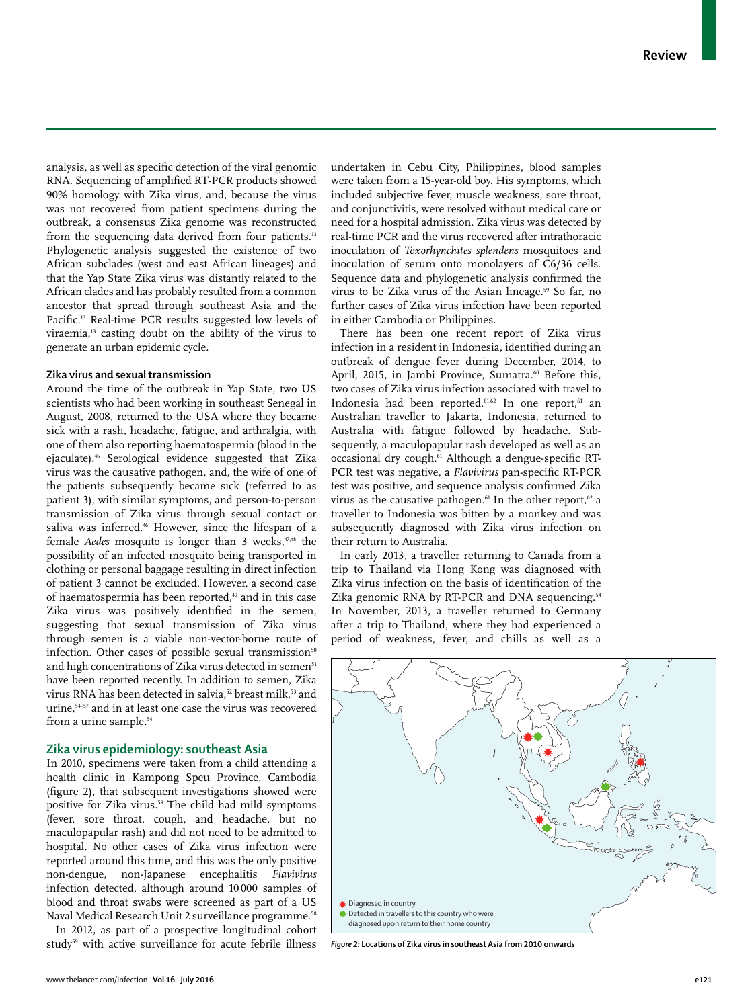analysis, as well as specific detection of the viral genomic RNA. Sequencing of amplified RT-PCR products showed 90% homology with Zika virus, and, because the virus was not recovered from patient specimens during the outbreak, a consensus Zika genome was reconstructed from the sequencing data derived from four patients.<sup>13</sup> Phylogenetic analysis suggested the existence of two African subclades (west and east African lineages) and that the Yap State Zika virus was distantly related to the African clades and has probably resulted from a common ancestor that spread through southeast Asia and the Pacific.<sup>13</sup> Real-time PCR results suggested low levels of viraemia,13 casting doubt on the ability of the virus to generate an urban epidemic cycle.

## **Zika virus and sexual transmission**

Around the time of the outbreak in Yap State, two US scientists who had been working in southeast Senegal in August, 2008, returned to the USA where they became sick with a rash, headache, fatigue, and arthralgia, with one of them also reporting haematospermia (blood in the ejaculate).46 Serological evidence suggested that Zika virus was the causative pathogen, and, the wife of one of the patients subsequently became sick (referred to as patient 3), with similar symptoms, and person-to-person transmission of Zika virus through sexual contact or saliva was inferred.<sup>46</sup> However, since the lifespan of a female *Aedes* mosquito is longer than 3 weeks,<sup>47,48</sup> the possibility of an infected mosquito being transported in clothing or personal baggage resulting in direct infection of patient 3 cannot be excluded. However, a second case of haematospermia has been reported,<sup>49</sup> and in this case Zika virus was positively identified in the semen, suggesting that sexual transmission of Zika virus through semen is a viable non-vector-borne route of infection. Other cases of possible sexual transmission $50$ and high concentrations of Zika virus detected in semen<sup>51</sup> have been reported recently. In addition to semen, Zika virus RNA has been detected in salvia,<sup>52</sup> breast milk,<sup>53</sup> and urine,54–57 and in at least one case the virus was recovered from a urine sample.<sup>54</sup>

## **Zika virus epidemiology: southeast Asia**

In 2010, specimens were taken from a child attending a health clinic in Kampong Speu Province, Cambodia (figure 2), that subsequent investigations showed were positive for Zika virus.<sup>58</sup> The child had mild symptoms (fever, sore throat, cough, and headache, but no maculopapular rash) and did not need to be admitted to hospital. No other cases of Zika virus infection were reported around this time, and this was the only positive non-dengue, non-Japanese encephalitis *Flavivirus* infection detected, although around 10 000 samples of blood and throat swabs were screened as part of a US Naval Medical Research Unit 2 surveillance programme.<sup>58</sup>

In 2012, as part of a prospective longitudinal cohort study<sup>59</sup> with active surveillance for acute febrile illness undertaken in Cebu City, Philippines, blood samples were taken from a 15-year-old boy. His symptoms, which included subjective fever, muscle weakness, sore throat, and conjunctivitis, were resolved without medical care or need for a hospital admission. Zika virus was detected by real-time PCR and the virus recovered after intrathoracic inoculation of *Toxorhynchites splendens* mosquitoes and inoculation of serum onto monolayers of C6/36 cells. Sequence data and phylogenetic analysis confirmed the virus to be Zika virus of the Asian lineage.<sup>59</sup> So far, no further cases of Zika virus infection have been reported in either Cambodia or Philippines.

There has been one recent report of Zika virus infection in a resident in Indonesia, identified during an outbreak of dengue fever during December, 2014, to April, 2015, in Jambi Province, Sumatra.<sup>60</sup> Before this, two cases of Zika virus infection associated with travel to Indonesia had been reported.<sup>61,62</sup> In one report,<sup>61</sup> an Australian traveller to Jakarta, Indonesia, returned to Australia with fatigue followed by headache. Subsequently, a maculopapular rash developed as well as an occasional dry cough.<sup>61</sup> Although a dengue-specific RT-PCR test was negative, a *Flavivirus* pan-specific RT-PCR test was positive, and sequence analysis confirmed Zika virus as the causative pathogen.<sup>61</sup> In the other report,<sup>62</sup> a traveller to Indonesia was bitten by a monkey and was subsequently diagnosed with Zika virus infection on their return to Australia.

In early 2013, a traveller returning to Canada from a trip to Thailand via Hong Kong was diagnosed with Zika virus infection on the basis of identification of the Zika genomic RNA by RT-PCR and DNA sequencing.<sup>54</sup> In November, 2013, a traveller returned to Germany after a trip to Thailand, where they had experienced a period of weakness, fever, and chills as well as a



*Figure 2:* **Locations of Zika virus in southeast Asia from 2010 onwards**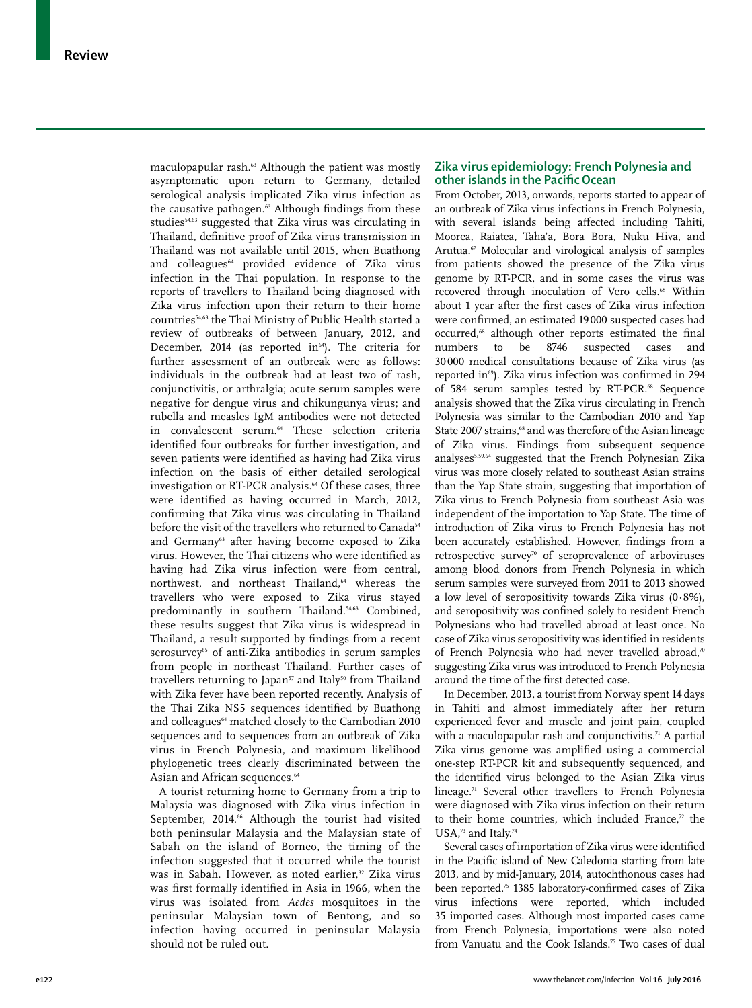maculopapular rash.<sup>63</sup> Although the patient was mostly asymptomatic upon return to Germany, detailed serological analysis implicated Zika virus infection as the causative pathogen.<sup>63</sup> Although findings from these studies<sup>54,63</sup> suggested that Zika virus was circulating in Thailand, definitive proof of Zika virus transmission in Thailand was not available until 2015, when Buathong and colleagues<sup>64</sup> provided evidence of Zika virus infection in the Thai population. In response to the reports of travellers to Thailand being diagnosed with Zika virus infection upon their return to their home countries54,63 the Thai Ministry of Public Health started a review of outbreaks of between January, 2012, and December, 2014 (as reported in $64$ ). The criteria for further assessment of an outbreak were as follows: individuals in the outbreak had at least two of rash, conjunctivitis, or arthralgia; acute serum samples were negative for dengue virus and chikungunya virus; and rubella and measles IgM antibodies were not detected in convalescent serum.<sup>64</sup> These selection criteria identified four outbreaks for further investigation, and seven patients were identified as having had Zika virus infection on the basis of either detailed serological investigation or RT-PCR analysis.<sup>64</sup> Of these cases, three were identified as having occurred in March, 2012, confirming that Zika virus was circulating in Thailand before the visit of the travellers who returned to Canada<sup>54</sup> and Germany<sup>63</sup> after having become exposed to Zika virus. However, the Thai citizens who were identified as having had Zika virus infection were from central, northwest, and northeast Thailand,<sup>64</sup> whereas the travellers who were exposed to Zika virus stayed predominantly in southern Thailand.<sup>54,63</sup> Combined, these results suggest that Zika virus is widespread in Thailand, a result supported by findings from a recent serosurvey<sup>65</sup> of anti-Zika antibodies in serum samples from people in northeast Thailand. Further cases of travellers returning to Japan<sup>57</sup> and Italy<sup>50</sup> from Thailand with Zika fever have been reported recently. Analysis of the Thai Zika NS5 sequences identified by Buathong and colleagues<sup>64</sup> matched closely to the Cambodian 2010 sequences and to sequences from an outbreak of Zika virus in French Polynesia, and maximum likelihood phylogenetic trees clearly discriminated between the Asian and African sequences.<sup>64</sup>

A tourist returning home to Germany from a trip to Malaysia was diagnosed with Zika virus infection in September, 2014.<sup>66</sup> Although the tourist had visited both peninsular Malaysia and the Malaysian state of Sabah on the island of Borneo, the timing of the infection suggested that it occurred while the tourist was in Sabah. However, as noted earlier,<sup>32</sup> Zika virus was first formally identified in Asia in 1966, when the virus was isolated from *Aedes* mosquitoes in the peninsular Malaysian town of Bentong, and so infection having occurred in peninsular Malaysia should not be ruled out.

# **Zika virus epidemiology: French Polynesia and other islands in the Pacific Ocean**

From October, 2013, onwards, reports started to appear of an outbreak of Zika virus infections in French Polynesia, with several islands being affected including Tahiti, Moorea, Raiatea, Taha'a, Bora Bora, Nuku Hiva, and Arutua.<sup>67</sup> Molecular and virological analysis of samples from patients showed the presence of the Zika virus genome by RT-PCR, and in some cases the virus was recovered through inoculation of Vero cells.<sup>68</sup> Within about 1 year after the first cases of Zika virus infection were confirmed, an estimated 19000 suspected cases had occurred,<sup>68</sup> although other reports estimated the final numbers to be 8746 suspected cases and 30 000 medical consultations because of Zika virus (as reported in<sup>69</sup>). Zika virus infection was confirmed in 294 of 584 serum samples tested by RT-PCR.<sup>68</sup> Sequence analysis showed that the Zika virus circulating in French Polynesia was similar to the Cambodian 2010 and Yap State 2007 strains,<sup>68</sup> and was therefore of the Asian lineage of Zika virus. Findings from subsequent sequence analyses5,59,64 suggested that the French Polynesian Zika virus was more closely related to southeast Asian strains than the Yap State strain, suggesting that importation of Zika virus to French Polynesia from southeast Asia was independent of the importation to Yap State. The time of introduction of Zika virus to French Polynesia has not been accurately established. However, findings from a retrospective survey<sup>70</sup> of seroprevalence of arboviruses among blood donors from French Polynesia in which serum samples were surveyed from 2011 to 2013 showed a low level of seropositivity towards Zika virus  $(0.8\%)$ , and seropositivity was confined solely to resident French Polynesians who had travelled abroad at least once. No case of Zika virus seropositivity was identified in residents of French Polynesia who had never travelled abroad.<sup>70</sup> suggesting Zika virus was introduced to French Polynesia around the time of the first detected case.

In December, 2013, a tourist from Norway spent 14 days in Tahiti and almost immediately after her return experienced fever and muscle and joint pain, coupled with a maculopapular rash and conjunctivitis.<sup>71</sup> A partial Zika virus genome was amplified using a commercial one-step RT-PCR kit and subsequently sequenced, and the identified virus belonged to the Asian Zika virus lineage.<sup>71</sup> Several other travellers to French Polynesia were diagnosed with Zika virus infection on their return to their home countries, which included France,<sup>72</sup> the USA,<sup>73</sup> and Italy.<sup>74</sup>

Several cases of importation of Zika virus were identified in the Pacific island of New Caledonia starting from late 2013, and by mid-January, 2014, autochthonous cases had been reported.<sup>75</sup> 1385 laboratory-confirmed cases of Zika virus infections were reported, which included 35 imported cases. Although most imported cases came from French Polynesia, importations were also noted from Vanuatu and the Cook Islands.<sup>75</sup> Two cases of dual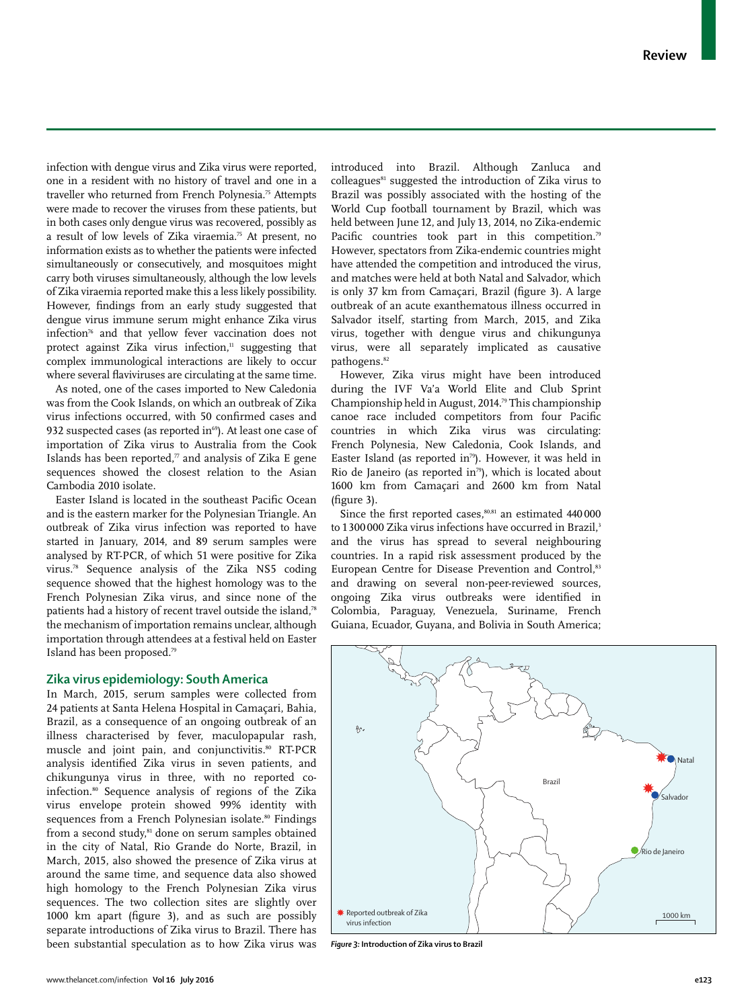infection with dengue virus and Zika virus were reported, one in a resident with no history of travel and one in a traveller who returned from French Polynesia.75 Attempts were made to recover the viruses from these patients, but in both cases only dengue virus was recovered, possibly as a result of low levels of Zika viraemia.75 At present, no information exists as to whether the patients were infected simultaneously or consecutively, and mosquitoes might carry both viruses simultaneously, although the low levels of Zika viraemia reported make this a less likely possibility. However, findings from an early study suggested that dengue virus immune serum might enhance Zika virus infection76 and that yellow fever vaccination does not protect against Zika virus infection, $n$  suggesting that complex immunological interactions are likely to occur where several flaviviruses are circulating at the same time.

As noted, one of the cases imported to New Caledonia was from the Cook Islands, on which an outbreak of Zika virus infections occurred, with 50 confirmed cases and 932 suspected cases (as reported in $^{69}$ ). At least one case of importation of Zika virus to Australia from the Cook Islands has been reported, $\pi$  and analysis of Zika E gene sequences showed the closest relation to the Asian Cambodia 2010 isolate.

Easter Island is located in the southeast Pacific Ocean and is the eastern marker for the Polynesian Triangle. An outbreak of Zika virus infection was reported to have started in January, 2014, and 89 serum samples were analysed by RT-PCR, of which 51 were positive for Zika virus.78 Sequence analysis of the Zika NS5 coding sequence showed that the highest homology was to the French Polynesian Zika virus, and since none of the patients had a history of recent travel outside the island,78 the mechanism of importation remains unclear, although importation through attendees at a festival held on Easter Island has been proposed.79

# **Zika virus epidemiology: South America**

In March, 2015, serum samples were collected from 24 patients at Santa Helena Hospital in Camaçari, Bahia, Brazil, as a consequence of an ongoing outbreak of an illness characterised by fever, maculopapular rash, muscle and joint pain, and conjunctivitis.<sup>80</sup> RT-PCR analysis identified Zika virus in seven patients, and chikungunya virus in three, with no reported coinfection.80 Sequence analysis of regions of the Zika virus envelope protein showed 99% identity with sequences from a French Polynesian isolate.<sup>80</sup> Findings from a second study,<sup>81</sup> done on serum samples obtained in the city of Natal, Rio Grande do Norte, Brazil, in March, 2015, also showed the presence of Zika virus at around the same time, and sequence data also showed high homology to the French Polynesian Zika virus sequences. The two collection sites are slightly over 1000 km apart (figure 3), and as such are possibly separate introductions of Zika virus to Brazil. There has been substantial speculation as to how Zika virus was

introduced into Brazil. Although Zanluca and colleagues<sup>81</sup> suggested the introduction of Zika virus to Brazil was possibly associated with the hosting of the World Cup football tournament by Brazil, which was held between June 12, and July 13, 2014, no Zika-endemic Pacific countries took part in this competition.<sup>79</sup> However, spectators from Zika-endemic countries might have attended the competition and introduced the virus, and matches were held at both Natal and Salvador, which is only 37 km from Camaçari, Brazil (figure 3). A large outbreak of an acute exanthematous illness occurred in Salvador itself, starting from March, 2015, and Zika virus, together with dengue virus and chikungunya virus, were all separately implicated as causative pathogens.<sup>82</sup>

However, Zika virus might have been introduced during the IVF Va'a World Elite and Club Sprint Championship held in August, 2014.79 This championship canoe race included competitors from four Pacific countries in which Zika virus was circulating: French Polynesia, New Caledonia, Cook Islands, and Easter Island (as reported in<sup>79</sup>). However, it was held in Rio de Janeiro (as reported in<sup>79</sup>), which is located about 1600 km from Camaçari and 2600 km from Natal  $(figure 3)$ .

Since the first reported cases, $80,81$  an estimated  $440000$ to 1 300 000 Zika virus infections have occurred in Brazil,<sup>3</sup> and the virus has spread to several neighbouring countries. In a rapid risk assessment produced by the European Centre for Disease Prevention and Control,<sup>83</sup> and drawing on several non-peer-reviewed sources, ongoing Zika virus outbreaks were identified in Colombia, Paraguay, Venezuela, Suriname, French Guiana, Ecuador, Guyana, and Bolivia in South America;



*Figure 3:* **Introduction of Zika virus to Brazil**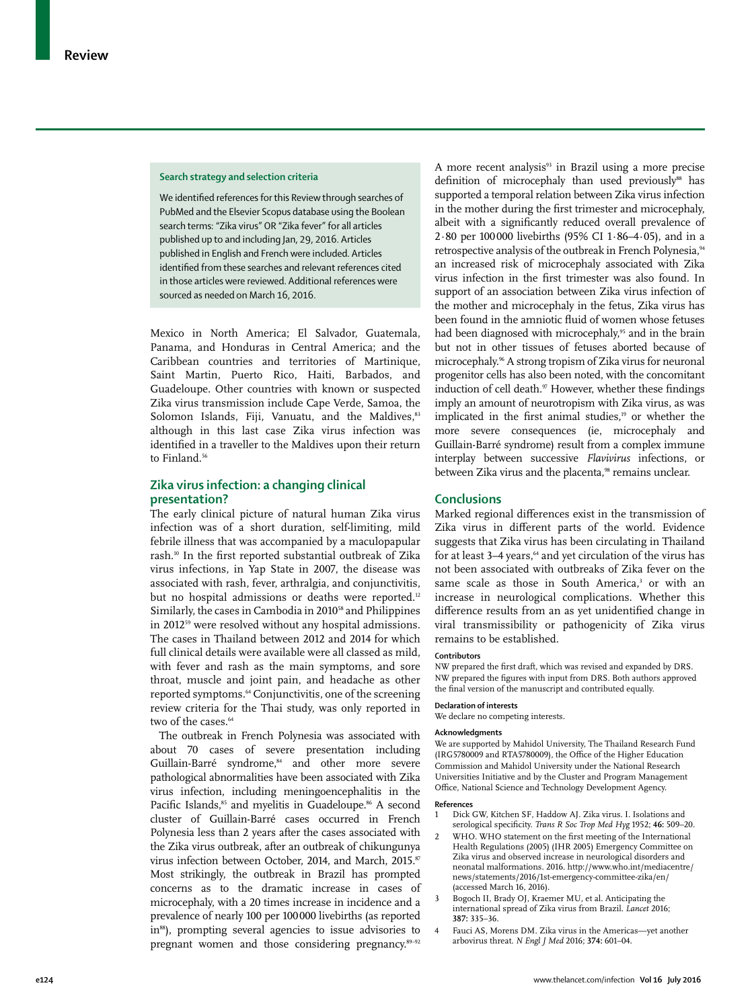## **Search strategy and selection criteria**

We identified references for this Review through searches of PubMed and the Elsevier Scopus database using the Boolean search terms: "Zika virus" OR "Zika fever" for all articles published up to and including Jan, 29, 2016. Articles published in English and French were included. Articles identified from these searches and relevant references cited in those articles were reviewed. Additional references were sourced as needed on March 16, 2016.

Mexico in North America; El Salvador, Guatemala, Panama, and Honduras in Central America; and the Caribbean countries and territories of Martinique, Saint Martin, Puerto Rico, Haiti, Barbados, and Guadeloupe. Other countries with known or suspected Zika virus transmission include Cape Verde, Samoa, the Solomon Islands, Fiji, Vanuatu, and the Maldives, 83 although in this last case Zika virus infection was identified in a traveller to the Maldives upon their return to Finland.<sup>56</sup>

## **Zika virus infection: a changing clinical presentation?**

The early clinical picture of natural human Zika virus infection was of a short duration, self-limiting, mild febrile illness that was accompanied by a maculopapular rash.<sup>10</sup> In the first reported substantial outbreak of Zika virus infections, in Yap State in 2007, the disease was associated with rash, fever, arthralgia, and conjunctivitis, but no hospital admissions or deaths were reported.<sup>12</sup> Similarly, the cases in Cambodia in 2010<sup>58</sup> and Philippines in 2012<sup>59</sup> were resolved without any hospital admissions. The cases in Thailand between 2012 and 2014 for which full clinical details were available were all classed as mild, with fever and rash as the main symptoms, and sore throat, muscle and joint pain, and headache as other reported symptoms.64 Conjunctivitis, one of the screening review criteria for the Thai study, was only reported in two of the cases.<sup>64</sup>

The outbreak in French Polynesia was associated with about 70 cases of severe presentation including Guillain-Barré syndrome,<sup>84</sup> and other more severe pathological abnormalities have been associated with Zika virus infection, including meningoencephalitis in the Pacific Islands,<sup>85</sup> and myelitis in Guadeloupe.<sup>86</sup> A second cluster of Guillain-Barré cases occurred in French Polynesia less than 2 years after the cases associated with the Zika virus outbreak, after an outbreak of chikungunya virus infection between October, 2014, and March, 2015.<sup>87</sup> Most strikingly, the outbreak in Brazil has prompted concerns as to the dramatic increase in cases of microcephaly, with a 20 times increase in incidence and a prevalence of nearly 100 per 100 000 livebirths (as reported in88), prompting several agencies to issue advisories to pregnant women and those considering pregnancy.89–92

A more recent analysis<sup>93</sup> in Brazil using a more precise definition of microcephaly than used previously<sup>88</sup> has supported a temporal relation between Zika virus infection in the mother during the first trimester and microcephaly, albeit with a significantly reduced overall prevalence of 2·80 per 100 000 livebirths (95% CI 1·86–4·05), and in a retrospective analysis of the outbreak in French Polynesia,<sup>94</sup> an increased risk of microcephaly associated with Zika virus infection in the first trimester was also found. In support of an association between Zika virus infection of the mother and microcephaly in the fetus, Zika virus has been found in the amniotic fluid of women whose fetuses had been diagnosed with microcephaly,<sup>95</sup> and in the brain but not in other tissues of fetuses aborted because of microcephaly.96 A strong tropism of Zika virus for neuronal progenitor cells has also been noted, with the concomitant induction of cell death.<sup>97</sup> However, whether these findings imply an amount of neurotropism with Zika virus, as was implicated in the first animal studies,<sup>19</sup> or whether the more severe consequences (ie, microcephaly and Guillain-Barré syndrome) result from a complex immune interplay between successive *Flavivirus* infections, or between Zika virus and the placenta,<sup>98</sup> remains unclear.

## **Conclusions**

Marked regional differences exist in the transmission of Zika virus in different parts of the world. Evidence suggests that Zika virus has been circulating in Thailand for at least 3–4 years,<sup>64</sup> and yet circulation of the virus has not been associated with outbreaks of Zika fever on the same scale as those in South America,<sup>3</sup> or with an increase in neurological complications. Whether this difference results from an as yet unidentified change in viral transmissibility or pathogenicity of Zika virus remains to be established.

## **Contributors**

NW prepared the first draft, which was revised and expanded by DRS. NW prepared the figures with input from DRS. Both authors approved the final version of the manuscript and contributed equally.

## **Declaration of interests**

We declare no competing interests.

#### **Acknowledgments**

We are supported by Mahidol University, The Thailand Research Fund (IRG5780009 and RTA5780009), the Office of the Higher Education Commission and Mahidol University under the National Research Universities Initiative and by the Cluster and Program Management Office, National Science and Technology Development Agency.

#### **References**

- 1 Dick GW, Kitchen SF, Haddow AJ. Zika virus. I. Isolations and serological specificity. *Trans R Soc Trop Med Hyg* 1952; 46: 509-20.
- WHO. WHO statement on the first meeting of the International Health Regulations (2005) (IHR 2005) Emergency Committee on Zika virus and observed increase in neurological disorders and neonatal malformations. 2016. http://www.who.int/mediacentre/ news/statements/2016/1st-emergency-committee-zika/en/ (accessed March 16, 2016).
- 3 Bogoch II, Brady OJ, Kraemer MU, et al. Anticipating the international spread of Zika virus from Brazil. *Lancet* 2016; **387:** 335–36.
- 4 Fauci AS, Morens DM. Zika virus in the Americas—yet another arbovirus threat. *N Engl J Med* 2016; **374:** 601–04.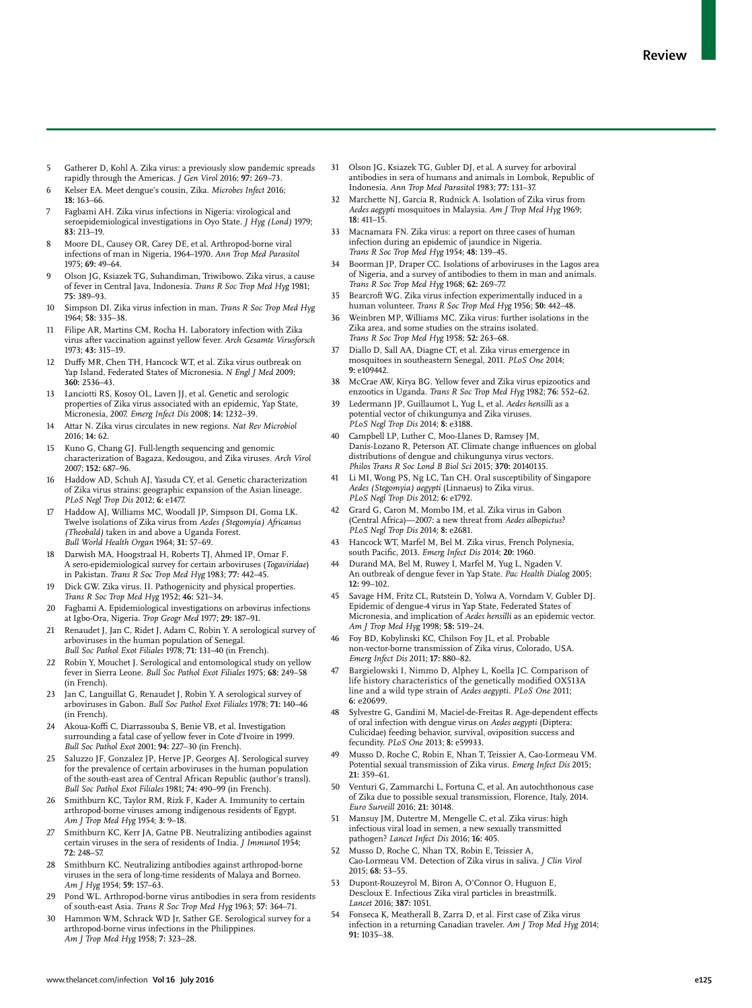- 5 Gatherer D, Kohl A. Zika virus: a previously slow pandemic spreads rapidly through the Americas. *J Gen Virol* 2016; **97:** 269–73.
- 6 Kelser EA. Meet dengue's cousin, Zika. *Microbes Infect* 2016; **18:** 163–66.
- 7 Fagbami AH. Zika virus infections in Nigeria: virological and seroepidemiological investigations in Oyo State. *J Hyg (Lond)* 1979; **83:** 213–19.
- 8 Moore DL, Causey OR, Carey DE, et al. Arthropod-borne viral infections of man in Nigeria, 1964–1970. *Ann Trop Med Parasitol* 1975; **69:** 49–64.
- 9 Olson JG, Ksiazek TG, Suhandiman, Triwibowo. Zika virus, a cause of fever in Central Java, Indonesia. *Trans R Soc Trop Med Hyg* 1981; **75:** 389–93.
- 10 Simpson DI. Zika virus infection in man. *Trans R Soc Trop Med Hyg* 1964; **58:** 335–38.
- 11 Filipe AR, Martins CM, Rocha H. Laboratory infection with Zika virus after vaccination against yellow fever. *Arch Gesamte Virusforsch* 1973; **43:** 315–19.
- 12 Duffy MR, Chen TH, Hancock WT, et al. Zika virus outbreak on Yap Island, Federated States of Micronesia. *N Engl J Med* 2009; **360:** 2536–43.
- 13 Lanciotti RS, Kosoy OL, Laven JJ, et al. Genetic and serologic properties of Zika virus associated with an epidemic, Yap State, Micronesia, 2007. *Emerg Infect Dis* 2008; **14:** 1232–39.
- 14 Attar N. Zika virus circulates in new regions. *Nat Rev Microbiol* 2016; **14:** 62.
- 15 Kuno G, Chang GJ. Full-length sequencing and genomic characterization of Bagaza, Kedougou, and Zika viruses. *Arch Virol* 2007; **152:** 687–96.
- Haddow AD, Schuh AJ, Yasuda CY, et al. Genetic characterization of Zika virus strains: geographic expansion of the Asian lineage. *PLoS Negl Trop Dis* 2012; **6:** e1477.
- 17 Haddow AJ, Williams MC, Woodall JP, Simpson DI, Goma LK. Twelve isolations of Zika virus from *Aedes (Stegomyia) Africanus (Theobald)* taken in and above a Uganda Forest. *Bull World Health Organ* 1964; **31:** 57–69.
- 18 Darwish MA, Hoogstraal H, Roberts TJ, Ahmed IP, Omar F. A sero-epidemiological survey for certain arboviruses (*Togaviridae*) in Pakistan. *Trans R Soc Trop Med Hyg* 1983; **77:** 442–45.
- 19 Dick GW. Zika virus. II. Pathogenicity and physical properties. *Trans R Soc Trop Med Hyg* 1952; **46:** 521–34.
- 20 Fagbami A. Epidemiological investigations on arbovirus infections at Igbo-Ora, Nigeria. *Trop Geogr Med* 1977; **29:** 187–91.
- 21 Renaudet J, Jan C, Ridet J, Adam C, Robin Y. A serological survey of arboviruses in the human population of Senegal. *Bull Soc Pathol Exot Filiales* 1978; **71:** 131–40 (in French).
- 22 Robin Y, Mouchet J. Serological and entomological study on yellow fever in Sierra Leone. *Bull Soc Pathol Exot Filiales* 1975; **68:** 249–58 (in French).
- Jan C, Languillat G, Renaudet J, Robin Y. A serological survey of arboviruses in Gabon. *Bull Soc Pathol Exot Filiales* 1978; **71:** 140–46 (in French).
- 24 Akoua-Koffi C, Diarrassouba S, Benie VB, et al. Investigation surrounding a fatal case of yellow fever in Cote d'Ivoire in 1999. *Bull Soc Pathol Exot* 2001; **94:** 227–30 (in French).
- Saluzzo JF, Gonzalez JP, Herve JP, Georges AJ. Serological survey for the prevalence of certain arboviruses in the human population of the south-east area of Central African Republic (author's transl). *Bull Soc Pathol Exot Filiales* 1981; **74:** 490–99 (in French).
- 26 Smithburn KC, Taylor RM, Rizk F, Kader A. Immunity to certain arthropod-borne viruses among indigenous residents of Egypt. *Am J Trop Med Hyg* 1954; **3:** 9–18.
- Smithburn KC, Kerr JA, Gatne PB. Neutralizing antibodies against certain viruses in the sera of residents of India. *J Immunol* 1954; **72:** 248–57.
- 28 Smithburn KC. Neutralizing antibodies against arthropod-borne viruses in the sera of long-time residents of Malaya and Borneo. *Am J Hyg* 1954; **59:** 157–63.
- Pond WL. Arthropod-borne virus antibodies in sera from residents of south-east Asia. *Trans R Soc Trop Med Hyg* 1963; **57:** 364–71.
- 30 Hammon WM, Schrack WD Jr, Sather GE. Serological survey for a arthropod-borne virus infections in the Philippines. *Am J Trop Med Hyg* 1958; **7:** 323–28.
- 31 Olson JG, Ksiazek TG, Gubler DJ, et al. A survey for arboviral antibodies in sera of humans and animals in Lombok, Republic of Indonesia. *Ann Trop Med Parasitol* 1983; **77:** 131–37.
- 32 Marchette NJ, Garcia R, Rudnick A. Isolation of Zika virus from *Aedes aegypti* mosquitoes in Malaysia. *Am J Trop Med Hyg* 1969; **18:** 411–15.
- 33 Macnamara FN. Zika virus: a report on three cases of human infection during an epidemic of jaundice in Nigeria. *Trans R Soc Trop Med Hyg* 1954; **48:** 139–45.
- 34 Boorman JP, Draper CC. Isolations of arboviruses in the Lagos area of Nigeria, and a survey of antibodies to them in man and animals. *Trans R Soc Trop Med Hyg* 1968; **62:** 269–77.
- 35 Bearcroft WG. Zika virus infection experimentally induced in a human volunteer. *Trans R Soc Trop Med Hyg* 1956; **50:** 442–48.
- 36 Weinbren MP, Williams MC. Zika virus: further isolations in the Zika area, and some studies on the strains isolated. *Trans R Soc Trop Med Hyg* 1958; **52:** 263–68.
- 37 Diallo D, Sall AA, Diagne CT, et al. Zika virus emergence in mosquitoes in southeastern Senegal, 2011. *PLoS One* 2014; **9:** e109442.
- 38 McCrae AW, Kirya BG. Yellow fever and Zika virus epizootics and enzootics in Uganda. *Trans R Soc Trop Med Hyg* 1982; **76:** 552–62.
- 39 Ledermann JP, Guillaumot L, Yug L, et al. *Aedes hensilli* as a potential vector of chikungunya and Zika viruses. *PLoS Negl Trop Dis* 2014; **8:** e3188.
- 40 Campbell LP, Luther C, Moo-Llanes D, Ramsey JM, Danis-Lozano R, Peterson AT. Climate change influences on global distributions of dengue and chikungunya virus vectors. *Philos Trans R Soc Lond B Biol Sci* 2015; **370:** 20140135.
- 41 Li MI, Wong PS, Ng LC, Tan CH. Oral susceptibility of Singapore *Aedes (Stegomyia) aegypti* (Linnaeus) to Zika virus. *PLoS Negl Trop Dis* 2012; **6:** e1792.
- 42 Grard G, Caron M, Mombo IM, et al. Zika virus in Gabon (Central Africa)—2007: a new threat from *Aedes albopictus*? *PLoS Negl Trop Dis* 2014; **8:** e2681.
- 43 Hancock WT, Marfel M, Bel M. Zika virus, French Polynesia, south Pacific, 2013. *Emerg Infect Dis* 2014; 20: 1960.
- Durand MA, Bel M, Ruwey I, Marfel M, Yug L, Ngaden V. An outbreak of dengue fever in Yap State. *Pac Health Dialog* 2005; **12:** 99–102.
- Savage HM, Fritz CL, Rutstein D, Yolwa A, Vorndam V, Gubler DJ. Epidemic of dengue-4 virus in Yap State, Federated States of Micronesia, and implication of *Aedes hensilli* as an epidemic vector. *Am J Trop Med Hyg* 1998; **58:** 519–24.
- 46 Foy BD, Kobylinski KC, Chilson Foy JL, et al. Probable non-vector-borne transmission of Zika virus, Colorado, USA. *Emerg Infect Dis* 2011; **17:** 880–82.
- 47 Bargielowski I, Nimmo D, Alphey L, Koella JC. Comparison of life history characteristics of the genetically modified OX513A line and a wild type strain of *Aedes aegypti*. *PLoS One* 2011; **6:** e20699.
- 48 Sylvestre G, Gandini M, Maciel-de-Freitas R. Age-dependent effects of oral infection with dengue virus on *Aedes aegypti* (Diptera: Culicidae) feeding behavior, survival, oviposition success and fecundity. *PLoS One* 2013; **8:** e59933.
- 49 Musso D, Roche C, Robin E, Nhan T, Teissier A, Cao-Lormeau VM. Potential sexual transmission of Zika virus. *Emerg Infect Dis* 2015; **21:** 359–61.
- Venturi G, Zammarchi L, Fortuna C, et al. An autochthonous case of Zika due to possible sexual transmission, Florence, Italy, 2014. *Euro Surveill* 2016; **21:** 30148.
- 51 Mansuy JM, Dutertre M, Mengelle C, et al. Zika virus: high infectious viral load in semen, a new sexually transmitted pathogen? *Lancet Infect Dis* 2016; **16:** 405.
- 52 Musso D, Roche C, Nhan TX, Robin E, Teissier A, Cao-Lormeau VM. Detection of Zika virus in saliva. *J Clin Virol* 2015; **68:** 53–55.
- 53 Dupont-Rouzeyrol M, Biron A, O'Connor O, Huguon E, Descloux E. Infectious Zika viral particles in breastmilk. *Lancet* 2016; **387:** 1051.
- 54 Fonseca K, Meatherall B, Zarra D, et al. First case of Zika virus infection in a returning Canadian traveler. *Am J Trop Med Hyg* 2014; **91:** 1035–38.